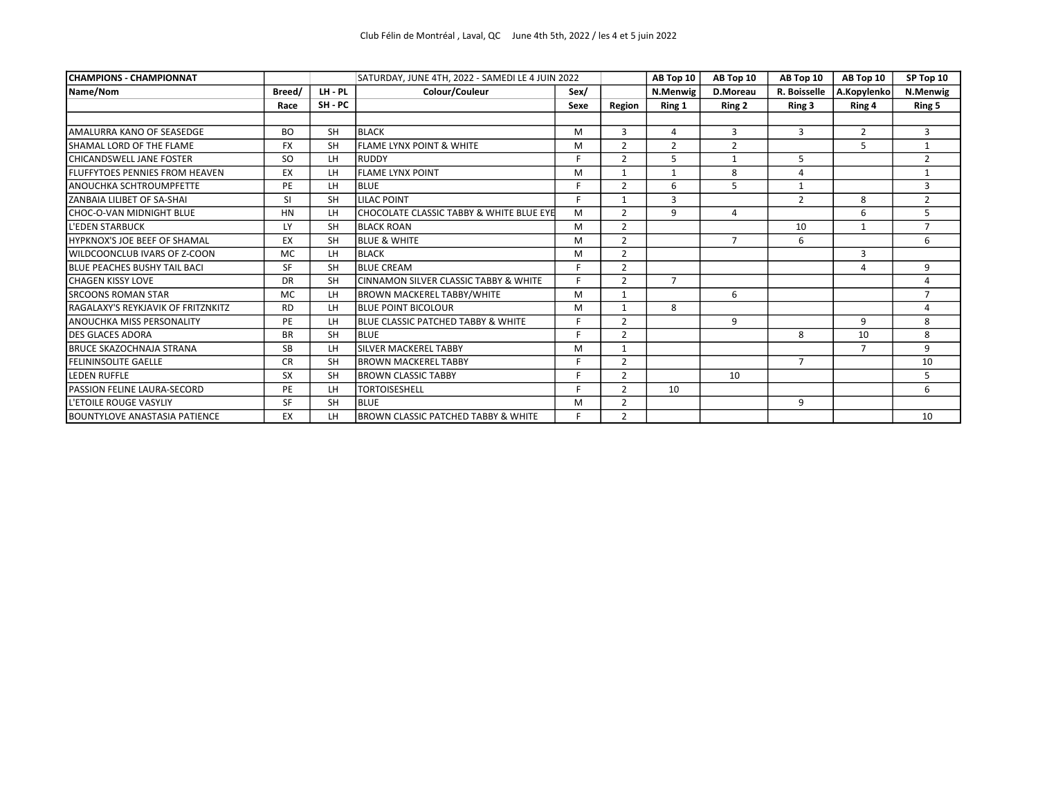| <b>CHAMPIONS - CHAMPIONNAT</b>            |               |           | SATURDAY, JUNE 4TH, 2022 - SAMEDI LE 4 JUIN 2022 |      | AB Top 10      | AB Top 10      | AB Top 10      | AB Top 10      | SP Top 10      |                |
|-------------------------------------------|---------------|-----------|--------------------------------------------------|------|----------------|----------------|----------------|----------------|----------------|----------------|
| Name/Nom                                  | Breed/        | LH-PL     | Colour/Couleur                                   | Sex/ |                | N.Menwig       | D.Moreau       | R. Boisselle   | A.Kopylenko    | N.Menwig       |
|                                           | Race          | SH - PC   |                                                  | Sexe | Region         | Ring 1         | Ring 2         | Ring 3         | Ring 4         | Ring 5         |
|                                           |               |           |                                                  |      |                |                |                |                |                |                |
| AMALURRA KANO OF SEASEDGE                 | <b>BO</b>     | <b>SH</b> | <b>BLACK</b>                                     | M    | 3              | 4              | 3              | 3              | $\overline{2}$ | 3              |
| SHAMAL LORD OF THE FLAME                  | <b>FX</b>     | <b>SH</b> | <b>FLAME LYNX POINT &amp; WHITE</b>              | M    | $\overline{2}$ | $\overline{2}$ | $\overline{2}$ |                | 5              | $\mathbf{1}$   |
| <b>CHICANDSWELL JANE FOSTER</b>           | <sub>SO</sub> | LH.       | RUDDY                                            | E.   | $\overline{2}$ | 5              | $\mathbf{1}$   | 5              |                | $\overline{2}$ |
| <b>FLUFFYTOES PENNIES FROM HEAVEN</b>     | EX            | LH.       | <b>FLAME LYNX POINT</b>                          | м    | $\mathbf{1}$   | 1              | 8              | 4              |                | 1              |
| <b>ANOUCHKA SCHTROUMPFETTE</b>            | PE            | LH        | <b>BLUE</b>                                      | F    | $\mathcal{P}$  | 6              | 5              | $\mathbf{1}$   |                | 3              |
| ZANBAIA LILIBET OF SA-SHAI                | <b>SI</b>     | <b>SH</b> | <b>LILAC POINT</b>                               |      |                | 3              |                | $\overline{2}$ | 8              | $\overline{2}$ |
| CHOC-O-VAN MIDNIGHT BLUE                  | HN            | LH        | CHOCOLATE CLASSIC TABBY & WHITE BLUE EYE         | M    | $\mathcal{P}$  | 9              | 4              |                | 6              | 5              |
| <b>L'EDEN STARBUCK</b>                    | LY            | <b>SH</b> | <b>BLACK ROAN</b>                                | M    | $\overline{2}$ |                |                | 10             | $\mathbf{1}$   | $\overline{7}$ |
| <b>HYPKNOX'S JOE BEEF OF SHAMAL</b>       | EX            | <b>SH</b> | <b>BLUE &amp; WHITE</b>                          | M    | $\overline{2}$ |                | $\overline{7}$ | 6              |                | 6              |
| WILDCOONCLUB IVARS OF Z-COON              | MC            | LH        | <b>BLACK</b>                                     | м    | $\overline{2}$ |                |                |                | 3              |                |
| <b>BLUE PEACHES BUSHY TAIL BACI</b>       | <b>SF</b>     | <b>SH</b> | <b>BLUE CREAM</b>                                |      | $\overline{2}$ |                |                |                | $\overline{4}$ | 9              |
| <b>CHAGEN KISSY LOVE</b>                  | <b>DR</b>     | <b>SH</b> | CINNAMON SILVER CLASSIC TABBY & WHITE            | c    | $\mathcal{P}$  | $\overline{7}$ |                |                |                | 4              |
| <b>SRCOONS ROMAN STAR</b>                 | МC            | LH        | <b>BROWN MACKEREL TABBY/WHITE</b>                | M    | 1              |                | 6              |                |                | $\overline{7}$ |
| <b>RAGALAXY'S REYKJAVIK OF FRITZNKITZ</b> | <b>RD</b>     | LH        | <b>BLUE POINT BICOLOUR</b>                       | M    | 1              | 8              |                |                |                | 4              |
| <b>ANOUCHKA MISS PERSONALITY</b>          | PE            | LH        | <b>IBLUE CLASSIC PATCHED TABBY &amp; WHITE</b>   | Е    | $\overline{2}$ |                | 9              |                | 9              | 8              |
| <b>DES GLACES ADORA</b>                   | <b>BR</b>     | <b>SH</b> | <b>BLUE</b>                                      |      | $\mathcal{P}$  |                |                | 8              | 10             | 8              |
| <b>BRUCE SKAZOCHNAJA STRANA</b>           | <b>SB</b>     | <b>LH</b> | <b>SILVER MACKEREL TABBY</b>                     | M    | $\mathbf{1}$   |                |                |                | 7              | 9              |
| <b>FELININSOLITE GAELLE</b>               | <b>CR</b>     | <b>SH</b> | <b>BROWN MACKEREL TABBY</b>                      | Е    | $\overline{2}$ |                |                | $\overline{7}$ |                | 10             |
| <b>LEDEN RUFFLE</b>                       | <b>SX</b>     | <b>SH</b> | <b>BROWN CLASSIC TABBY</b>                       |      | $\overline{2}$ |                | 10             |                |                | 5              |
| PASSION FELINE LAURA-SECORD               | PE            | LH        | <b>TORTOISESHELL</b>                             |      | $\overline{2}$ | 10             |                |                |                | 6              |
| L'ETOILE ROUGE VASYLIY                    | <b>SF</b>     | <b>SH</b> | <b>BLUE</b>                                      | M    | $\overline{2}$ |                |                | 9              |                |                |
| <b>BOUNTYLOVE ANASTASIA PATIENCE</b>      | EX            | LH        | <b>IBROWN CLASSIC PATCHED TABBY &amp; WHITE</b>  | F.   | $\overline{2}$ |                |                |                |                | 10             |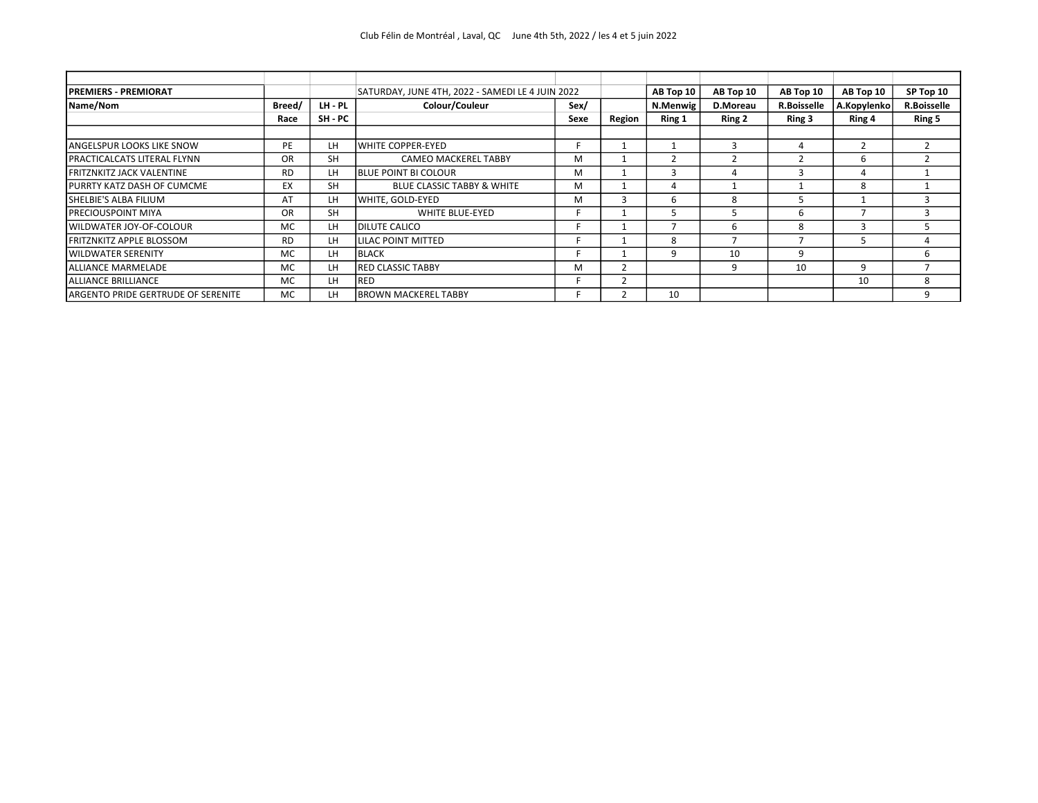| <b>PREMIERS - PREMIORAT</b>        |           |           | SATURDAY, JUNE 4TH, 2022 - SAMEDI LE 4 JUIN 2022 |      |        | AB Top 10 | AB Top 10 | AB Top 10          | AB Top 10   | SP Top 10          |
|------------------------------------|-----------|-----------|--------------------------------------------------|------|--------|-----------|-----------|--------------------|-------------|--------------------|
| Name/Nom                           | Breed/    | LH - PL   | Colour/Couleur                                   | Sex/ |        | N.Menwig  | D.Moreau  | <b>R.Boisselle</b> | A.Kopylenko | <b>R.Boisselle</b> |
|                                    | Race      | SH - PC   |                                                  | Sexe | Region | Ring 1    | Ring 2    | Ring 3             | Ring 4      | Ring 5             |
|                                    |           |           |                                                  |      |        |           |           |                    |             |                    |
| <b>ANGELSPUR LOOKS LIKE SNOW</b>   | PE        | LH        | <b>IWHITE COPPER-EYED</b>                        |      |        |           |           |                    |             |                    |
| <b>PRACTICALCATS LITERAL FLYNN</b> | OR        | <b>SH</b> | <b>CAMEO MACKEREL TABBY</b>                      | м    |        |           |           |                    | 6           |                    |
| <b>FRITZNKITZ JACK VALENTINE</b>   | <b>RD</b> | LH        | <b>IBLUE POINT BI COLOUR</b>                     | м    |        |           |           |                    |             |                    |
| PURRTY KATZ DASH OF CUMCME         | EX        | <b>SH</b> | <b>BLUE CLASSIC TABBY &amp; WHITE</b>            | M    |        |           |           |                    | 8           |                    |
| SHELBIE'S ALBA FILIUM              | AT        | LH        | WHITE. GOLD-EYED                                 | м    |        | h         | 8         | ר                  |             |                    |
| <b>PRECIOUSPOINT MIYA</b>          | <b>OR</b> | <b>SH</b> | <b>WHITE BLUE-EYED</b>                           |      |        |           |           | 6                  |             | 3                  |
| WILDWATER JOY-OF-COLOUR            | MC.       | LH        | <b>IDILUTE CALICO</b>                            |      |        |           | h         | 8                  |             |                    |
| <b>FRITZNKITZ APPLE BLOSSOM</b>    | <b>RD</b> | LH        | LILAC POINT MITTED                               |      |        | 8         |           |                    |             |                    |
| <b>WILDWATER SERENITY</b>          | MC        | LH        | BLACK                                            |      |        |           | 10        | 9                  |             | 6                  |
| <b>ALLIANCE MARMELADE</b>          | MC.       | LH        | <b>RED CLASSIC TABBY</b>                         | м    |        |           |           | 10                 | q           |                    |
| ALLIANCE BRILLIANCE                | MC        | LH        | <b>RED</b>                                       |      |        |           |           |                    | 10          | 8                  |
| ARGENTO PRIDE GERTRUDE OF SERENITE | MC        | LH        | IBROWN MACKEREL TABBY                            |      |        | 10        |           |                    |             | q                  |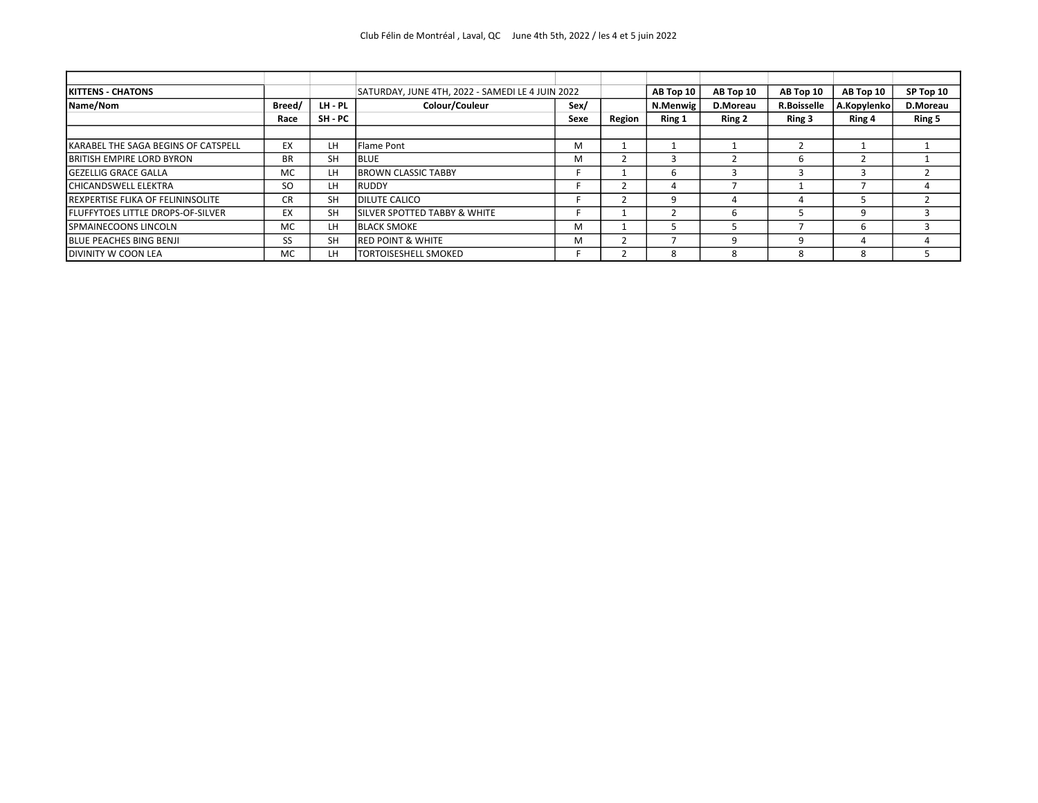| <b>IKITTENS - CHATONS</b>                |           |           | SATURDAY, JUNE 4TH, 2022 - SAMEDI LE 4 JUIN 2022 |      | AB Top 10 | AB Top 10 | AB Top 10 | AB Top 10          | SP Top 10   |          |
|------------------------------------------|-----------|-----------|--------------------------------------------------|------|-----------|-----------|-----------|--------------------|-------------|----------|
| Name/Nom                                 | Breed/    | LH - PL   | Colour/Couleur                                   | Sex/ |           | N.Menwig  | D.Moreau  | <b>R.Boisselle</b> | A.Kopylenko | D.Moreau |
|                                          | Race      | SH - PC   |                                                  | Sexe | Region    | Ring 1    | Ring 2    | Ring 3             | Ring 4      | Ring 5   |
|                                          |           |           |                                                  |      |           |           |           |                    |             |          |
| KARABEL THE SAGA BEGINS OF CATSPELL      | EX        | LH        | Flame Pont                                       | M    |           |           |           |                    |             |          |
| <b>BRITISH EMPIRE LORD BYRON</b>         | BR.       | <b>SH</b> | <b>BLUE</b>                                      | M    |           |           |           | h                  |             |          |
| <b>GEZELLIG GRACE GALLA</b>              | MC        | LH        | <b>BROWN CLASSIC TABBY</b>                       |      |           |           |           |                    |             |          |
| <b>CHICANDSWELL ELEKTRA</b>              | <b>SO</b> | LH        | <b>RUDDY</b>                                     |      |           |           |           |                    |             |          |
| <b>REXPERTISE FLIKA OF FELININSOLITE</b> | CR.       | <b>SH</b> | <b>DILUTE CALICO</b>                             |      |           |           |           |                    |             |          |
| <b>FLUFFYTOES LITTLE DROPS-OF-SILVER</b> | EX        | <b>SH</b> | ISILVER SPOTTED TABBY & WHITE                    |      |           |           |           |                    | q           |          |
| <b>SPMAINECOONS LINCOLN</b>              | MC.       | LH        | <b>BLACK SMOKE</b>                               | M    |           |           |           |                    | b           |          |
| <b>BLUE PEACHES BING BENJI</b>           | SS        | <b>SH</b> | IRED POINT & WHITE                               | M    |           |           |           | q                  |             |          |
| <b>DIVINITY W COON LEA</b>               | MC        | LH        | <b>TORTOISESHELL SMOKED</b>                      |      |           |           |           | 8                  | 8           |          |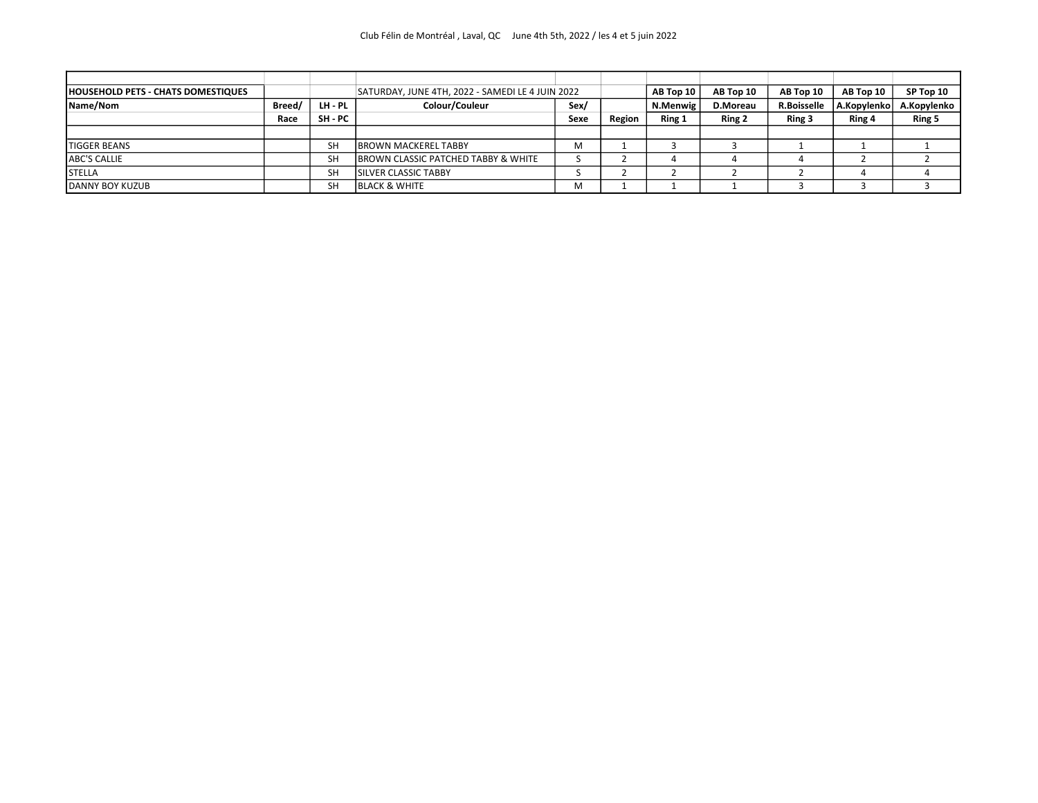| <b>HOUSEHOLD PETS - CHATS DOMESTIQUES</b> |        | SATURDAY, JUNE 4TH, 2022 - SAMEDI LE 4 JUIN 2022 |                                     |      |        | AB Top 10 $ $ | AB Top 10 | AB Top 10          | AB Top 10   | SP Top 10   |
|-------------------------------------------|--------|--------------------------------------------------|-------------------------------------|------|--------|---------------|-----------|--------------------|-------------|-------------|
| Name/Nom                                  | Breed/ | LH - PL                                          | Colour/Couleur                      | Sex/ |        | N.Menwig      | D.Moreau  | <b>R.Boisselle</b> | A.Kopylenko | A.Kopylenko |
|                                           | Race   | SH - PC                                          |                                     | Sexe | Region | Ring 1        | Ring 2    | Ring 3             | Ring 4      | Ring 5      |
|                                           |        |                                                  |                                     |      |        |               |           |                    |             |             |
| <b>TIGGER BEANS</b>                       |        | <b>SH</b>                                        | <b>BROWN MACKEREL TABBY</b>         | M    |        |               |           |                    |             |             |
| <b>ABC'S CALLIE</b>                       |        | <b>SH</b>                                        | BROWN CLASSIC PATCHED TABBY & WHITE |      |        |               |           |                    |             |             |
| <b>STELLA</b>                             |        | <b>SH</b>                                        | <b>SILVER CLASSIC TABBY</b>         |      |        |               |           |                    |             |             |
| DANNY BOY KUZUB                           |        | SH                                               | <b>BLACK &amp; WHITE</b>            | M    |        |               |           |                    |             |             |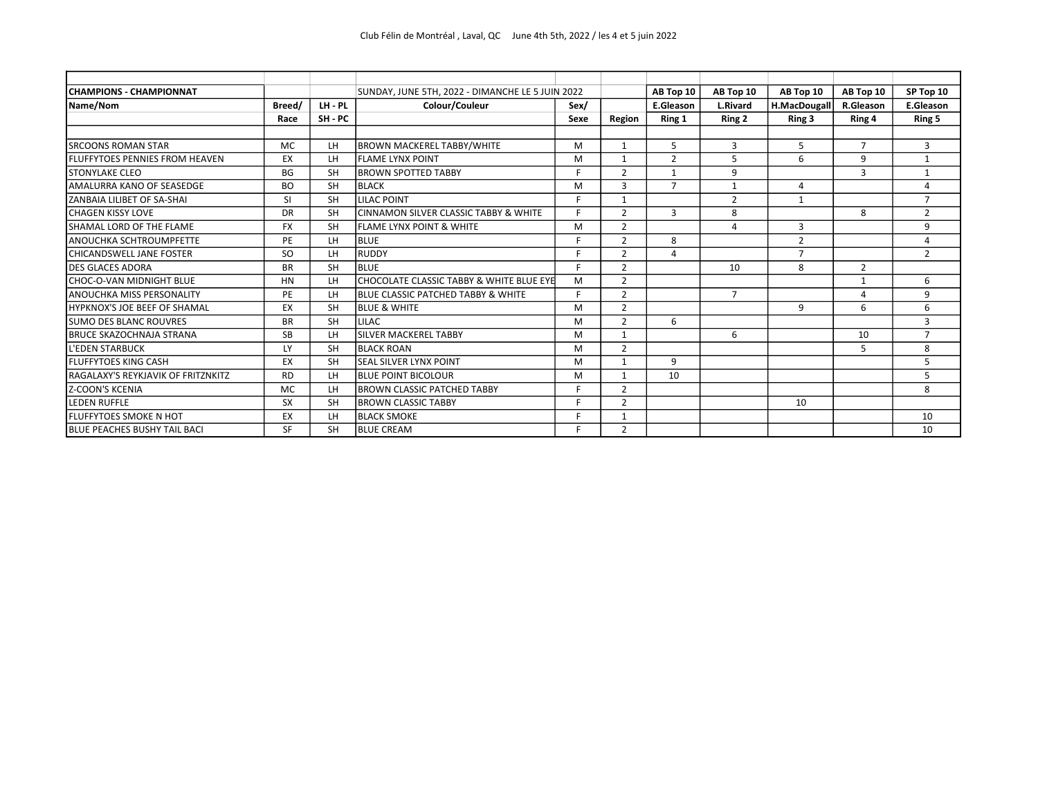| <b>CHAMPIONS - CHAMPIONNAT</b>        |           |           | SUNDAY, JUNE 5TH, 2022 - DIMANCHE LE 5 JUIN 2022 |      |                | AB Top 10      | AB Top 10       | AB Top 10      | AB Top 10      | SP Top 10      |
|---------------------------------------|-----------|-----------|--------------------------------------------------|------|----------------|----------------|-----------------|----------------|----------------|----------------|
| Name/Nom                              | Breed/    | LH - PL   | Colour/Couleur                                   | Sex/ |                | E.Gleason      | <b>L.Rivard</b> | H.MacDougall   | R.Gleason      | E.Gleason      |
|                                       | Race      | SH-PC     |                                                  | Sexe | Region         | Ring 1         | Ring 2          | Ring 3         | Ring 4         | Ring 5         |
|                                       |           |           |                                                  |      |                |                |                 |                |                |                |
| <b>SRCOONS ROMAN STAR</b>             | <b>MC</b> | LH        | <b>BROWN MACKEREL TABBY/WHITE</b>                | M    | 1              | 5              | 3               | 5              | $\overline{7}$ | 3              |
| <b>FLUFFYTOES PENNIES FROM HEAVEN</b> | EX        | LH        | <b>FLAME LYNX POINT</b>                          | M    |                | $\overline{2}$ | 5               | 6              | 9              | $\mathbf{1}$   |
| <b>STONYLAKE CLEO</b>                 | <b>BG</b> | <b>SH</b> | <b>BROWN SPOTTED TABBY</b>                       | F.   | $\overline{2}$ | 1              | 9               |                | 3              | $\mathbf{1}$   |
| AMALURRA KANO OF SEASEDGE             | <b>BO</b> | <b>SH</b> | <b>BLACK</b>                                     | M    | 3              |                | $\mathbf{1}$    | 4              |                | 4              |
| ZANBAIA LILIBET OF SA-SHAI            | SI        | <b>SH</b> | <b>LILAC POINT</b>                               | E.   | 1              |                | $\overline{2}$  | $\mathbf{1}$   |                | $\overline{7}$ |
| <b>CHAGEN KISSY LOVE</b>              | DR        | <b>SH</b> | <b>CINNAMON SILVER CLASSIC TABBY &amp; WHITE</b> | c.   | $\overline{2}$ | 3              | 8               |                | 8              | $\overline{2}$ |
| SHAMAL LORD OF THE FLAME              | <b>FX</b> | <b>SH</b> | <b>FLAME LYNX POINT &amp; WHITE</b>              | M    | $\overline{2}$ |                | 4               | 3              |                | 9              |
| ANOUCHKA SCHTROUMPFETTE               | PE        | LH        | <b>BLUE</b>                                      | F.   | $\overline{2}$ | 8              |                 | $\overline{2}$ |                | 4              |
| CHICANDSWELL JANE FOSTER              | <b>SO</b> | LH        | <b>RUDDY</b>                                     | E.   | $\overline{2}$ | $\Delta$       |                 | $\overline{7}$ |                | $\overline{2}$ |
| <b>DES GLACES ADORA</b>               | <b>BR</b> | <b>SH</b> | <b>BLUE</b>                                      | c.   | $\overline{2}$ |                | 10              | 8              | $\overline{2}$ |                |
| CHOC-O-VAN MIDNIGHT BLUE              | <b>HN</b> | LH        | CHOCOLATE CLASSIC TABBY & WHITE BLUE EYE         | M    | $\overline{2}$ |                |                 |                | 1              | 6              |
| <b>ANOUCHKA MISS PERSONALITY</b>      | PE        | LH        | BLUE CLASSIC PATCHED TABBY & WHITE               | F.   | $\overline{2}$ |                | $\overline{7}$  |                | $\Lambda$      | 9              |
| <b>HYPKNOX'S JOE BEEF OF SHAMAL</b>   | EX        | <b>SH</b> | <b>BLUE &amp; WHITE</b>                          | M    | $\overline{2}$ |                |                 | 9              | 6              | 6              |
| <b>SUMO DES BLANC ROUVRES</b>         | <b>BR</b> | <b>SH</b> | <b>LILAC</b>                                     | M    | $\mathfrak{p}$ | 6              |                 |                |                | 3              |
| <b>BRUCE SKAZOCHNAJA STRANA</b>       | <b>SB</b> | LH        | <b>SILVER MACKEREL TABBY</b>                     | M    | $\mathbf{1}$   |                | 6               |                | 10             | $\overline{7}$ |
| <b>L'EDEN STARBUCK</b>                | LY        | <b>SH</b> | <b>BLACK ROAN</b>                                | M    | $\overline{2}$ |                |                 |                | 5              | 8              |
| <b>FLUFFYTOES KING CASH</b>           | EX        | <b>SH</b> | <b>SEAL SILVER LYNX POINT</b>                    | M    | $\mathbf{1}$   | 9              |                 |                |                | 5              |
| RAGALAXY'S REYKJAVIK OF FRITZNKITZ    | <b>RD</b> | LH        | <b>BLUE POINT BICOLOUR</b>                       | M    | 1              | 10             |                 |                |                | 5              |
| <b>Z-COON'S KCENIA</b>                | <b>MC</b> | LH        | <b>BROWN CLASSIC PATCHED TABBY</b>               | F.   | $\overline{2}$ |                |                 |                |                | 8              |
| <b>LEDEN RUFFLE</b>                   | <b>SX</b> | <b>SH</b> | <b>BROWN CLASSIC TABBY</b>                       | E.   | $\overline{2}$ |                |                 | 10             |                |                |
| <b>FLUFFYTOES SMOKE N HOT</b>         | EX        | LH        | <b>BLACK SMOKE</b>                               | F.   | $\mathbf 1$    |                |                 |                |                | 10             |
| <b>BLUE PEACHES BUSHY TAIL BACI</b>   | SF        | <b>SH</b> | <b>BLUE CREAM</b>                                | F    | $\overline{2}$ |                |                 |                |                | 10             |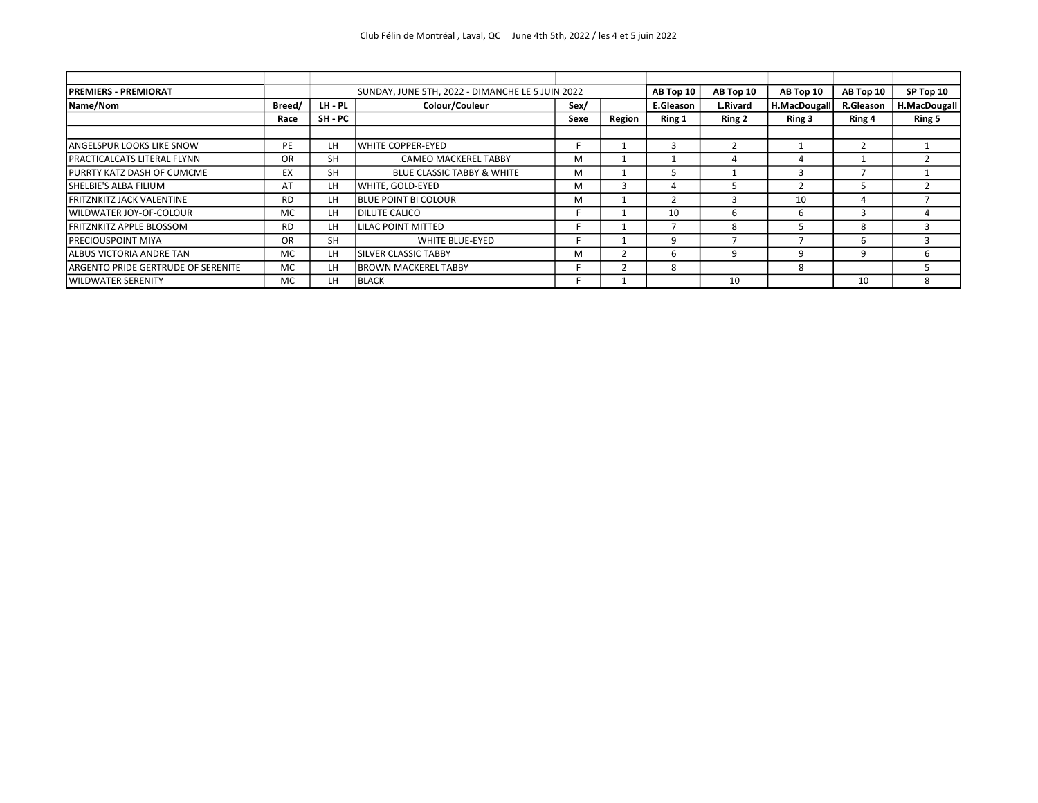| <b>PREMIERS - PREMIORAT</b>        |           |           | SUNDAY, JUNE 5TH, 2022 - DIMANCHE LE 5 JUIN 2022 |      |        | AB Top 10 | AB Top 10 | AB Top 10    | AB Top 10        | SP Top 10    |
|------------------------------------|-----------|-----------|--------------------------------------------------|------|--------|-----------|-----------|--------------|------------------|--------------|
| Name/Nom                           | Breed/    | LH - PL   | Colour/Couleur                                   | Sex/ |        | E.Gleason | L.Rivard  | H.MacDougall | <b>R.Gleason</b> | H.MacDougall |
|                                    | Race      | SH - PC   |                                                  | Sexe | Region | Ring 1    | Ring 2    | Ring 3       | Ring 4           | Ring 5       |
|                                    |           |           |                                                  |      |        |           |           |              |                  |              |
| <b>ANGELSPUR LOOKS LIKE SNOW</b>   | PE        | LH        | IWHITE COPPER-EYED                               |      |        |           |           |              |                  |              |
| <b>PRACTICALCATS LITERAL FLYNN</b> | OR        | <b>SH</b> | <b>CAMEO MACKEREL TABBY</b>                      | M    |        |           |           | 4            |                  |              |
| PURRTY KATZ DASH OF CUMCME         | ЕX        | <b>SH</b> | <b>BLUE CLASSIC TABBY &amp; WHITE</b>            | м    |        |           |           |              |                  |              |
| SHELBIE'S ALBA FILIUM              | AT        | LH        | WHITE, GOLD-EYED                                 | M    |        |           |           |              |                  |              |
| <b>FRITZNKITZ JACK VALENTINE</b>   | RD.       | LH        | <b>BLUE POINT BI COLOUR</b>                      | M    |        |           |           | 10           | 4                |              |
| WILDWATER JOY-OF-COLOUR            | <b>MC</b> | LH        | <b>IDILUTE CALICO</b>                            |      |        | 10        |           | b            |                  |              |
| <b>FRITZNKITZ APPLE BLOSSOM</b>    | <b>RD</b> | LH        | <b>LILAC POINT MITTED</b>                        |      |        |           |           |              | 8                |              |
| <b>PRECIOUSPOINT MIYA</b>          | <b>OR</b> | <b>SH</b> | <b>WHITE BLUE-EYED</b>                           |      |        | 9         |           |              | $\mathsf{6}$     |              |
| ALBUS VICTORIA ANDRE TAN           | <b>MC</b> | LH        | <b>ISILVER CLASSIC TABBY</b>                     | м    |        | h         |           | q            | q                | h            |
| ARGENTO PRIDE GERTRUDE OF SERENITE | <b>MC</b> | LH        | <b>IBROWN MACKEREL TABBY</b>                     |      |        | 8         |           | 8            |                  |              |
| <b>WILDWATER SERENITY</b>          | <b>MC</b> | LH        | <b>BLACK</b>                                     |      |        |           | 10        |              | 10               | 8            |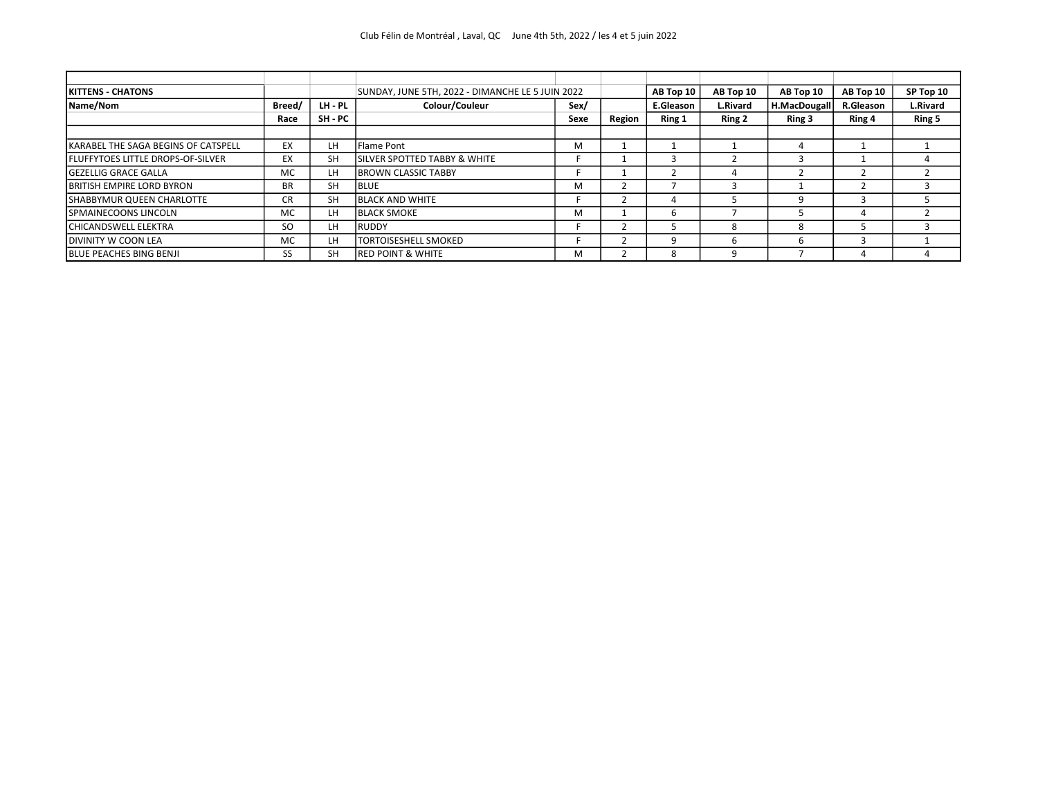| <b>KITTENS - CHATONS</b>                 |           |           | SUNDAY, JUNE 5TH, 2022 - DIMANCHE LE 5 JUIN 2022 | AB Top 10 |        |           | AB Top 10 | AB Top 10    | AB Top 10 | SP Top 10       |
|------------------------------------------|-----------|-----------|--------------------------------------------------|-----------|--------|-----------|-----------|--------------|-----------|-----------------|
| Name/Nom                                 | Breed/    | LH - PL   | Colour/Couleur                                   | Sex/      |        | E.Gleason | L.Rivard  | H.MacDougall | R.Gleason | <b>L.Rivard</b> |
|                                          | Race      | SH - PC   |                                                  | Sexe      | Region | Ring 1    | Ring 2    | Ring 3       | Ring 4    | Ring 5          |
|                                          |           |           |                                                  |           |        |           |           |              |           |                 |
| KARABEL THE SAGA BEGINS OF CATSPELL      | EX        | LH        | Flame Pont                                       | м         |        |           |           |              |           |                 |
| <b>FLUFFYTOES LITTLE DROPS-OF-SILVER</b> | EX        | <b>SH</b> | <b>ISILVER SPOTTED TABBY &amp; WHITE</b>         |           |        |           |           |              |           |                 |
| <b>GEZELLIG GRACE GALLA</b>              | <b>MC</b> | LH        | <b>BROWN CLASSIC TABBY</b>                       |           |        |           |           |              |           |                 |
| <b>BRITISH EMPIRE LORD BYRON</b>         | <b>BR</b> | <b>SH</b> | <b>BLUE</b>                                      | м         |        |           |           |              |           |                 |
| SHABBYMUR QUEEN CHARLOTTE                | CR        | <b>SH</b> | <b>BLACK AND WHITE</b>                           |           |        |           |           | q            |           |                 |
| SPMAINECOONS LINCOLN                     | <b>MC</b> | LH        | <b>BLACK SMOKE</b>                               | м         |        |           |           |              |           |                 |
| <b>CHICANDSWELL ELEKTRA</b>              | SO.       | LH        | <b>RUDDY</b>                                     |           |        |           |           | 8            |           |                 |
| DIVINITY W COON LEA                      | <b>MC</b> | LH        | <b>TORTOISESHELL SMOKED</b>                      |           |        |           |           | b            |           |                 |
| <b>BLUE PEACHES BING BENJI</b>           | SS        | SH        | <b>RED POINT &amp; WHITE</b>                     | м         |        | 8         |           |              |           |                 |